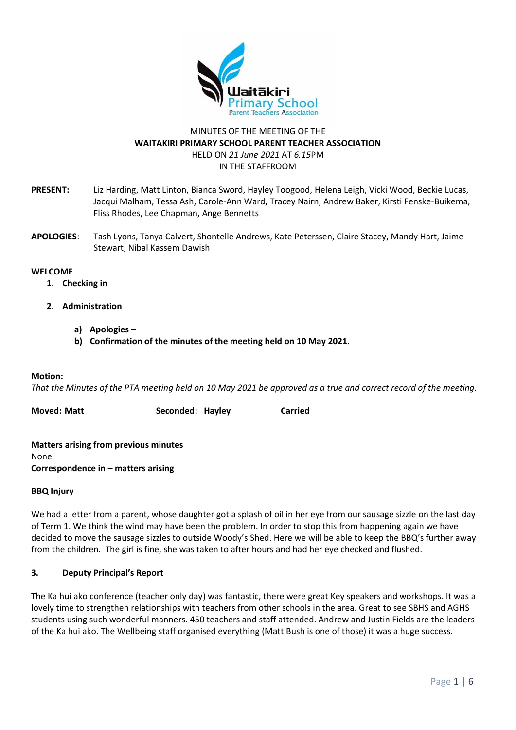

# MINUTES OF THE MEETING OF THE **WAITAKIRI PRIMARY SCHOOL PARENT TEACHER ASSOCIATION** HELD ON *21 June 2021* AT *6.15*PM IN THE STAFFROOM

- **PRESENT:** Liz Harding, Matt Linton, Bianca Sword, Hayley Toogood, Helena Leigh, Vicki Wood, Beckie Lucas, Jacqui Malham, Tessa Ash, Carole-Ann Ward, Tracey Nairn, Andrew Baker, Kirsti Fenske-Buikema, Fliss Rhodes, Lee Chapman, Ange Bennetts
- **APOLOGIES**: Tash Lyons, Tanya Calvert, Shontelle Andrews, Kate Peterssen, Claire Stacey, Mandy Hart, Jaime Stewart, Nibal Kassem Dawish

#### **WELCOME**

- **1. Checking in**
- **2. Administration**
	- **a) Apologies** 
		- **b) Confirmation of the minutes of the meeting held on 10 May 2021.**

#### **Motion:**

*That the Minutes of the PTA meeting held on 10 May 2021 be approved as a true and correct record of the meeting.* 

| Moved: Matt | Seconded: Hayley | <b>Carried</b> |
|-------------|------------------|----------------|
|-------------|------------------|----------------|

**Matters arising from previous minutes** None **Correspondence in – matters arising**

### **BBQ Injury**

We had a letter from a parent, whose daughter got a splash of oil in her eye from our sausage sizzle on the last day of Term 1. We think the wind may have been the problem. In order to stop this from happening again we have decided to move the sausage sizzles to outside Woody's Shed. Here we will be able to keep the BBQ's further away from the children. The girl is fine, she was taken to after hours and had her eye checked and flushed.

### **3. Deputy Principal's Report**

The Ka hui ako conference (teacher only day) was fantastic, there were great Key speakers and workshops. It was a lovely time to strengthen relationships with teachers from other schools in the area. Great to see SBHS and AGHS students using such wonderful manners. 450 teachers and staff attended. Andrew and Justin Fields are the leaders of the Ka hui ako. The Wellbeing staff organised everything (Matt Bush is one of those) it was a huge success.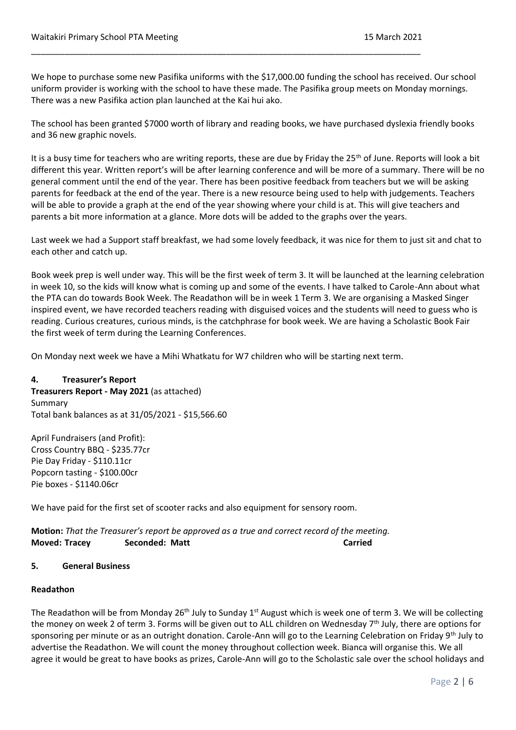We hope to purchase some new Pasifika uniforms with the \$17,000.00 funding the school has received. Our school uniform provider is working with the school to have these made. The Pasifika group meets on Monday mornings. There was a new Pasifika action plan launched at the Kai hui ako.

\_\_\_\_\_\_\_\_\_\_\_\_\_\_\_\_\_\_\_\_\_\_\_\_\_\_\_\_\_\_\_\_\_\_\_\_\_\_\_\_\_\_\_\_\_\_\_\_\_\_\_\_\_\_\_\_\_\_\_\_\_\_\_\_\_\_\_\_\_\_\_\_\_\_\_\_\_\_\_\_\_\_

The school has been granted \$7000 worth of library and reading books, we have purchased dyslexia friendly books and 36 new graphic novels.

It is a busy time for teachers who are writing reports, these are due by Friday the 25<sup>th</sup> of June. Reports will look a bit different this year. Written report's will be after learning conference and will be more of a summary. There will be no general comment until the end of the year. There has been positive feedback from teachers but we will be asking parents for feedback at the end of the year. There is a new resource being used to help with judgements. Teachers will be able to provide a graph at the end of the year showing where your child is at. This will give teachers and parents a bit more information at a glance. More dots will be added to the graphs over the years.

Last week we had a Support staff breakfast, we had some lovely feedback, it was nice for them to just sit and chat to each other and catch up.

Book week prep is well under way. This will be the first week of term 3. It will be launched at the learning celebration in week 10, so the kids will know what is coming up and some of the events. I have talked to Carole-Ann about what the PTA can do towards Book Week. The Readathon will be in week 1 Term 3. We are organising a Masked Singer inspired event, we have recorded teachers reading with disguised voices and the students will need to guess who is reading. Curious creatures, curious minds, is the catchphrase for book week. We are having a Scholastic Book Fair the first week of term during the Learning Conferences.

On Monday next week we have a Mihi Whatkatu for W7 children who will be starting next term.

### **4. Treasurer's Report**

**Treasurers Report - May 2021** (as attached) Summary Total bank balances as at 31/05/2021 - \$15,566.60

April Fundraisers (and Profit): Cross Country BBQ - \$235.77cr Pie Day Friday - \$110.11cr Popcorn tasting - \$100.00cr Pie boxes - \$1140.06cr

We have paid for the first set of scooter racks and also equipment for sensory room.

**Motion:** *That the Treasurer's report be approved as a true and correct record of the meeting.* **Moved: Tracey Seconded: Matt Carried**

### **5. General Business**

### **Readathon**

The Readathon will be from Monday 26<sup>th</sup> July to Sunday 1<sup>st</sup> August which is week one of term 3. We will be collecting the money on week 2 of term 3. Forms will be given out to ALL children on Wednesday 7<sup>th</sup> July, there are options for sponsoring per minute or as an outright donation. Carole-Ann will go to the Learning Celebration on Friday 9<sup>th</sup> July to advertise the Readathon. We will count the money throughout collection week. Bianca will organise this. We all agree it would be great to have books as prizes, Carole-Ann will go to the Scholastic sale over the school holidays and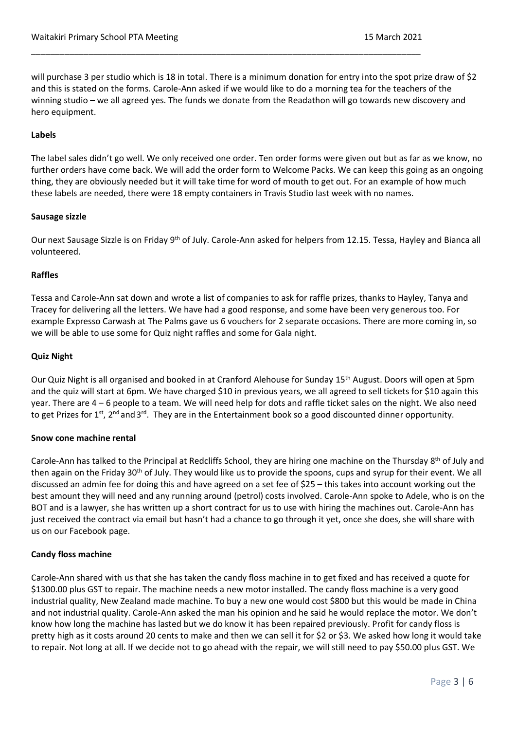will purchase 3 per studio which is 18 in total. There is a minimum donation for entry into the spot prize draw of \$2 and this is stated on the forms. Carole-Ann asked if we would like to do a morning tea for the teachers of the winning studio – we all agreed yes. The funds we donate from the Readathon will go towards new discovery and hero equipment.

\_\_\_\_\_\_\_\_\_\_\_\_\_\_\_\_\_\_\_\_\_\_\_\_\_\_\_\_\_\_\_\_\_\_\_\_\_\_\_\_\_\_\_\_\_\_\_\_\_\_\_\_\_\_\_\_\_\_\_\_\_\_\_\_\_\_\_\_\_\_\_\_\_\_\_\_\_\_\_\_\_\_

#### **Labels**

The label sales didn't go well. We only received one order. Ten order forms were given out but as far as we know, no further orders have come back. We will add the order form to Welcome Packs. We can keep this going as an ongoing thing, they are obviously needed but it will take time for word of mouth to get out. For an example of how much these labels are needed, there were 18 empty containers in Travis Studio last week with no names.

#### **Sausage sizzle**

Our next Sausage Sizzle is on Friday 9<sup>th</sup> of July. Carole-Ann asked for helpers from 12.15. Tessa, Hayley and Bianca all volunteered.

#### **Raffles**

Tessa and Carole-Ann sat down and wrote a list of companies to ask for raffle prizes, thanks to Hayley, Tanya and Tracey for delivering all the letters. We have had a good response, and some have been very generous too. For example Expresso Carwash at The Palms gave us 6 vouchers for 2 separate occasions. There are more coming in, so we will be able to use some for Quiz night raffles and some for Gala night.

### **Quiz Night**

Our Quiz Night is all organised and booked in at Cranford Alehouse for Sunday 15<sup>th</sup> August. Doors will open at 5pm and the quiz will start at 6pm. We have charged \$10 in previous years, we all agreed to sell tickets for \$10 again this year. There are 4 – 6 people to a team. We will need help for dots and raffle ticket sales on the night. We also need to get Prizes for 1st, 2<sup>nd</sup> and 3<sup>rd</sup>. They are in the Entertainment book so a good discounted dinner opportunity.

### **Snow cone machine rental**

Carole-Ann has talked to the Principal at Redcliffs School, they are hiring one machine on the Thursday 8<sup>th</sup> of July and then again on the Friday 30<sup>th</sup> of July. They would like us to provide the spoons, cups and syrup for their event. We all discussed an admin fee for doing this and have agreed on a set fee of \$25 – this takes into account working out the best amount they will need and any running around (petrol) costs involved. Carole-Ann spoke to Adele, who is on the BOT and is a lawyer, she has written up a short contract for us to use with hiring the machines out. Carole-Ann has just received the contract via email but hasn't had a chance to go through it yet, once she does, she will share with us on our Facebook page.

### **Candy floss machine**

Carole-Ann shared with us that she has taken the candy floss machine in to get fixed and has received a quote for \$1300.00 plus GST to repair. The machine needs a new motor installed. The candy floss machine is a very good industrial quality, New Zealand made machine. To buy a new one would cost \$800 but this would be made in China and not industrial quality. Carole-Ann asked the man his opinion and he said he would replace the motor. We don't know how long the machine has lasted but we do know it has been repaired previously. Profit for candy floss is pretty high as it costs around 20 cents to make and then we can sell it for \$2 or \$3. We asked how long it would take to repair. Not long at all. If we decide not to go ahead with the repair, we will still need to pay \$50.00 plus GST. We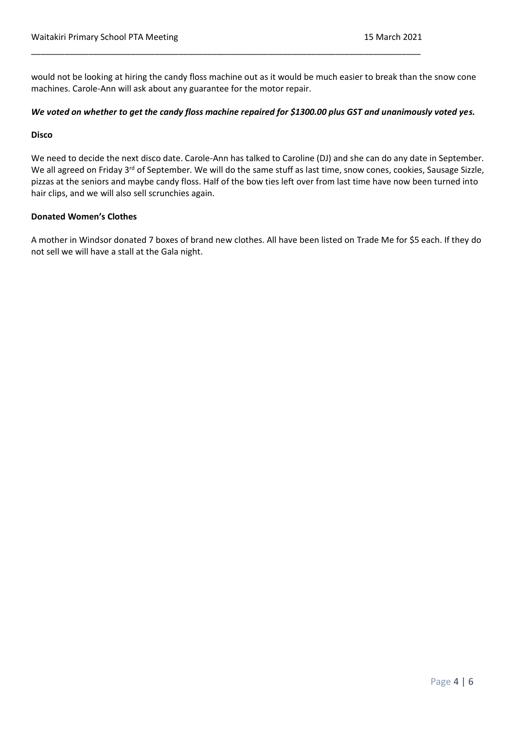would not be looking at hiring the candy floss machine out as it would be much easier to break than the snow cone machines. Carole-Ann will ask about any guarantee for the motor repair.

\_\_\_\_\_\_\_\_\_\_\_\_\_\_\_\_\_\_\_\_\_\_\_\_\_\_\_\_\_\_\_\_\_\_\_\_\_\_\_\_\_\_\_\_\_\_\_\_\_\_\_\_\_\_\_\_\_\_\_\_\_\_\_\_\_\_\_\_\_\_\_\_\_\_\_\_\_\_\_\_\_\_

### *We voted on whether to get the candy floss machine repaired for \$1300.00 plus GST and unanimously voted yes.*

#### **Disco**

We need to decide the next disco date. Carole-Ann has talked to Caroline (DJ) and she can do any date in September. We all agreed on Friday 3<sup>rd</sup> of September. We will do the same stuff as last time, snow cones, cookies, Sausage Sizzle, pizzas at the seniors and maybe candy floss. Half of the bow ties left over from last time have now been turned into hair clips, and we will also sell scrunchies again.

### **Donated Women's Clothes**

A mother in Windsor donated 7 boxes of brand new clothes. All have been listed on Trade Me for \$5 each. If they do not sell we will have a stall at the Gala night.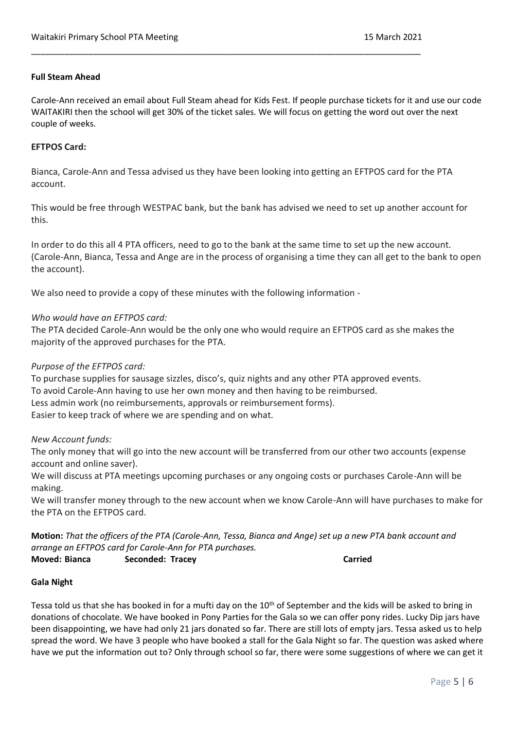### **Full Steam Ahead**

Carole-Ann received an email about Full Steam ahead for Kids Fest. If people purchase tickets for it and use our code WAITAKIRI then the school will get 30% of the ticket sales. We will focus on getting the word out over the next couple of weeks.

### **EFTPOS Card:**

Bianca, Carole-Ann and Tessa advised us they have been looking into getting an EFTPOS card for the PTA account.

\_\_\_\_\_\_\_\_\_\_\_\_\_\_\_\_\_\_\_\_\_\_\_\_\_\_\_\_\_\_\_\_\_\_\_\_\_\_\_\_\_\_\_\_\_\_\_\_\_\_\_\_\_\_\_\_\_\_\_\_\_\_\_\_\_\_\_\_\_\_\_\_\_\_\_\_\_\_\_\_\_\_

This would be free through WESTPAC bank, but the bank has advised we need to set up another account for this.

In order to do this all 4 PTA officers, need to go to the bank at the same time to set up the new account. (Carole-Ann, Bianca, Tessa and Ange are in the process of organising a time they can all get to the bank to open the account).

We also need to provide a copy of these minutes with the following information -

### *Who would have an EFTPOS card:*

The PTA decided Carole-Ann would be the only one who would require an EFTPOS card as she makes the majority of the approved purchases for the PTA.

### *Purpose of the EFTPOS card:*

To purchase supplies for sausage sizzles, disco's, quiz nights and any other PTA approved events. To avoid Carole-Ann having to use her own money and then having to be reimbursed. Less admin work (no reimbursements, approvals or reimbursement forms). Easier to keep track of where we are spending and on what.

### *New Account funds:*

The only money that will go into the new account will be transferred from our other two accounts (expense account and online saver).

We will discuss at PTA meetings upcoming purchases or any ongoing costs or purchases Carole-Ann will be making.

We will transfer money through to the new account when we know Carole-Ann will have purchases to make for the PTA on the EFTPOS card.

**Motion:** *That the officers of the PTA (Carole-Ann, Tessa, Bianca and Ange) set up a new PTA bank account and arrange an EFTPOS card for Carole-Ann for PTA purchases.*

### **Moved: Bianca Seconded: Tracey Carried**

### **Gala Night**

Tessa told us that she has booked in for a mufti day on the 10<sup>th</sup> of September and the kids will be asked to bring in donations of chocolate. We have booked in Pony Parties for the Gala so we can offer pony rides. Lucky Dip jars have been disappointing, we have had only 21 jars donated so far. There are still lots of empty jars. Tessa asked us to help spread the word. We have 3 people who have booked a stall for the Gala Night so far. The question was asked where have we put the information out to? Only through school so far, there were some suggestions of where we can get it